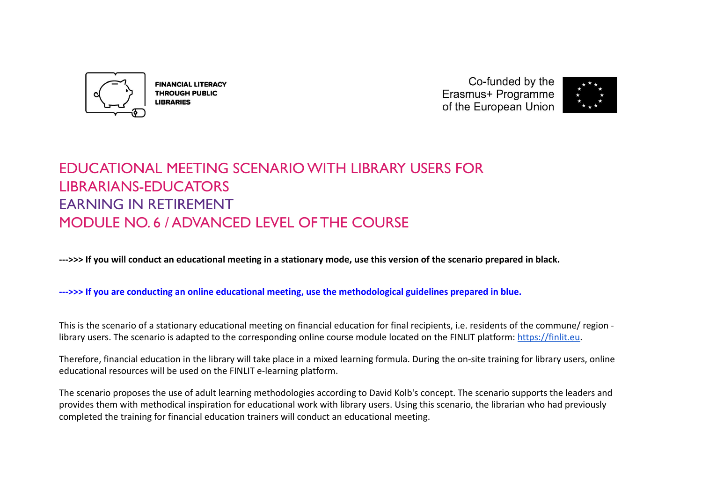

**FINANCIAL LITERACY THROUGH PUBLIC LIBRARIES** 

Co-funded by the Erasmus+ Programme of the European Union



# EDUCATIONAL MEETING SCENARIO WITH LIBRARY USERS FOR LIBRARIANS-EDUCATORS EARNING IN RETIREMENT MODULE NO. 6 / ADVANCED LEVEL OF THE COURSE

**--->>> If you will conduct an educational meeting in a stationary mode, use this version of the scenario prepared in black.**

# **--->>> If you are conducting an online educational meeting, use the methodological guidelines prepared in blue.**

This is the scenario of a stationary educational meeting on financial education for final recipients, i.e. residents of the commune/ region library users. The scenario is adapted to the corresponding online course module located on the FINLIT platform: [https://finlit.eu.](https://finlit.eu)

Therefore, financial education in the library will take place in a mixed learning formula. During the on-site training for library users, online educational resources will be used on the FINLIT e-learning platform.

The scenario proposes the use of adult learning methodologies according to David Kolb's concept. The scenario supports the leaders and provides them with methodical inspiration for educational work with library users. Using this scenario, the librarian who had previously completed the training for financial education trainers will conduct an educational meeting.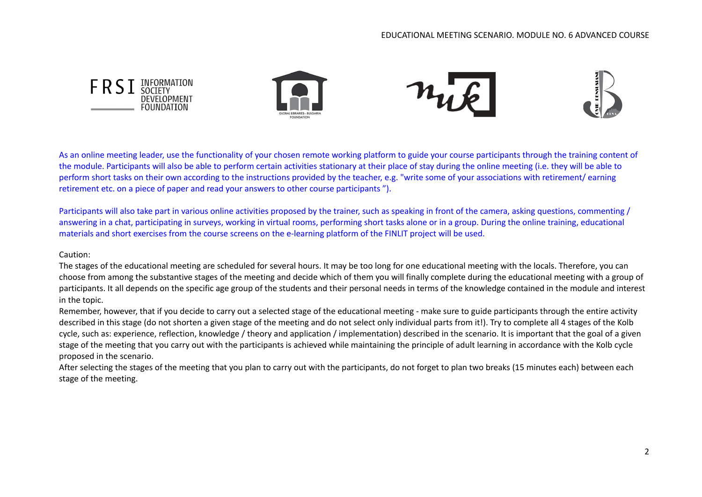

As an online meeting leader, use the functionality of your chosen remote working platform to guide your course participants through the training content of the module. Participants will also be able to perform certain activities stationary at their place of stay during the online meeting (i.e. they will be able to perform short tasks on their own according to the instructions provided by the teacher, e.g. "write some of your associations with retirement/ earning retirement etc. on a piece of paper and read your answers to other course participants ").

Participants will also take part in various online activities proposed by the trainer, such as speaking in front of the camera, asking questions, commenting / answering in a chat, participating in surveys, working in virtual rooms, performing short tasks alone or in a group. During the online training, educational materials and short exercises from the course screens on the e-learning platform of the FINLIT project will be used.

Caution:

The stages of the educational meeting are scheduled for several hours. It may be too long for one educational meeting with the locals. Therefore, you can choose from among the substantive stages of the meeting and decide which of them you will finally complete during the educational meeting with a group of participants. It all depends on the specific age group of the students and their personal needs in terms of the knowledge contained in the module and interest in the topic.

Remember, however, that if you decide to carry out a selected stage of the educational meeting - make sure to guide participants through the entire activity described in this stage (do not shorten a given stage of the meeting and do not select only individual parts from it!). Try to complete all 4 stages of the Kolb cycle, such as: experience, reflection, knowledge / theory and application / implementation) described in the scenario. It is important that the goal of a given stage of the meeting that you carry out with the participants is achieved while maintaining the principle of adult learning in accordance with the Kolb cycle proposed in the scenario.

After selecting the stages of the meeting that you plan to carry out with the participants, do not forget to plan two breaks (15 minutes each) between each stage of the meeting.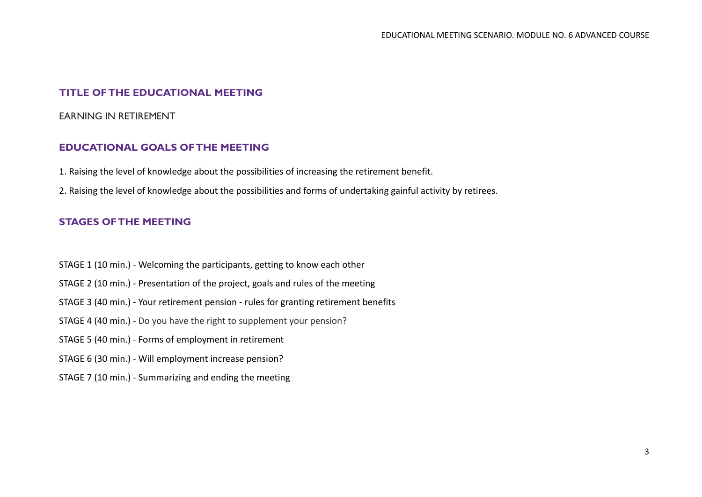## **TITLE OF THE EDUCATIONAL MEETING**

#### EARNING IN RETIREMENT

#### **EDUCATIONAL GOALS OF THE MEETING**

- 1. Raising the level of knowledge about the possibilities of increasing the retirement benefit.
- 2. Raising the level of knowledge about the possibilities and forms of undertaking gainful activity by retirees.

#### **STAGES OF THE MEETING**

- STAGE 1 (10 min.) Welcoming the participants, getting to know each other
- STAGE 2 (10 min.) Presentation of the project, goals and rules of the meeting
- STAGE 3 (40 min.) Your retirement pension rules for granting retirement benefits
- STAGE 4 (40 min.) Do you have the right to supplement your pension?
- STAGE 5 (40 min.) Forms of employment in retirement
- STAGE 6 (30 min.) Will employment increase pension?
- STAGE 7 (10 min.) Summarizing and ending the meeting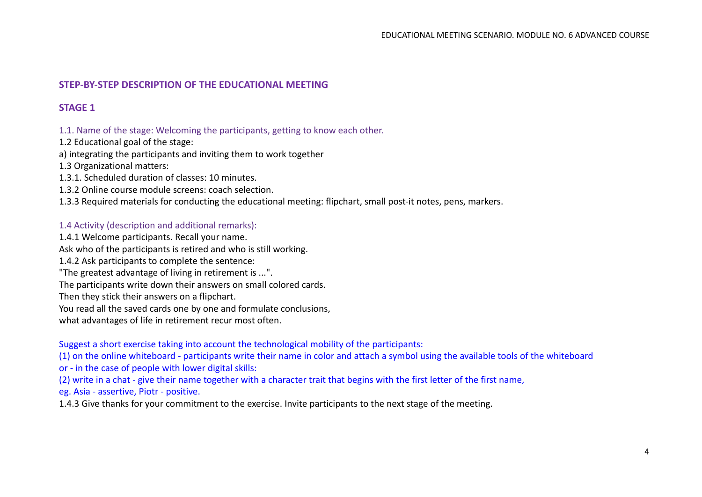## **STEP-BY-STEP DESCRIPTION OF THE EDUCATIONAL MEETING**

# **STAGE 1**

#### 1.1. Name of the stage: Welcoming the participants, getting to know each other.

1.2 Educational goal of the stage:

a) integrating the participants and inviting them to work together

1.3 Organizational matters:

1.3.1. Scheduled duration of classes: 10 minutes.

1.3.2 Online course module screens: coach selection.

1.3.3 Required materials for conducting the educational meeting: flipchart, small post-it notes, pens, markers.

#### 1.4 Activity (description and additional remarks):

1.4.1 Welcome participants. Recall your name.

Ask who of the participants is retired and who is still working.

1.4.2 Ask participants to complete the sentence:

"The greatest advantage of living in retirement is ...".

The participants write down their answers on small colored cards.

Then they stick their answers on a flipchart.

You read all the saved cards one by one and formulate conclusions,

what advantages of life in retirement recur most often.

Suggest a short exercise taking into account the technological mobility of the participants:

(1) on the online whiteboard - participants write their name in color and attach a symbol using the available tools of the whiteboard

or - in the case of people with lower digital skills:

(2) write in a chat - give their name together with a character trait that begins with the first letter of the first name,

eg. Asia - assertive, Piotr - positive.

1.4.3 Give thanks for your commitment to the exercise. Invite participants to the next stage of the meeting.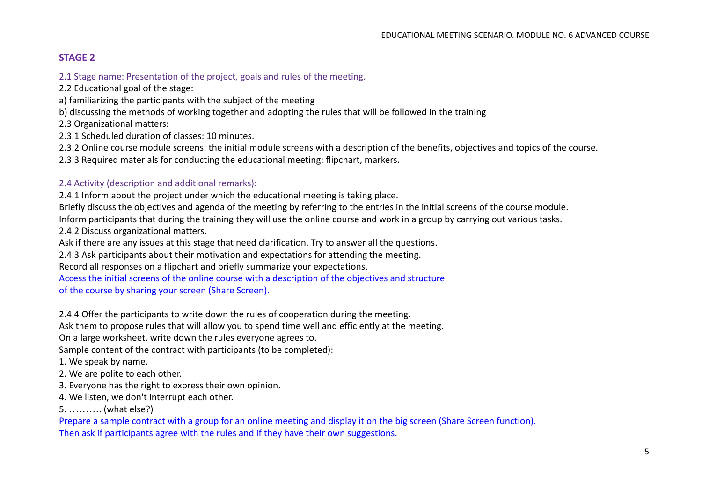## **STAGE 2**

2.1 Stage name: Presentation of the project, goals and rules of the meeting.

2.2 Educational goal of the stage:

a) familiarizing the participants with the subject of the meeting

b) discussing the methods of working together and adopting the rules that will be followed in the training

2.3 Organizational matters:

2.3.1 Scheduled duration of classes: 10 minutes.

2.3.2 Online course module screens: the initial module screens with a description of the benefits, objectives and topics of the course.

2.3.3 Required materials for conducting the educational meeting: flipchart, markers.

## 2.4 Activity (description and additional remarks):

2.4.1 Inform about the project under which the educational meeting is taking place.

Briefly discuss the objectives and agenda of the meeting by referring to the entries in the initial screens of the course module.

Inform participants that during the training they will use the online course and work in a group by carrying out various tasks.

2.4.2 Discuss organizational matters.

Ask if there are any issues at this stage that need clarification. Try to answer all the questions.

2.4.3 Ask participants about their motivation and expectations for attending the meeting.

Record all responses on a flipchart and briefly summarize your expectations.

Access the initial screens of the online course with a description of the objectives and structure of the course by sharing your screen (Share Screen).

2.4.4 Offer the participants to write down the rules of cooperation during the meeting.

Ask them to propose rules that will allow you to spend time well and efficiently at the meeting.

On a large worksheet, write down the rules everyone agrees to.

Sample content of the contract with participants (to be completed):

1. We speak by name.

2. We are polite to each other.

3. Everyone has the right to express their own opinion.

4. We listen, we don't interrupt each other.

5. ………. (what else?)

Prepare a sample contract with a group for an online meeting and display it on the big screen (Share Screen function). Then ask if participants agree with the rules and if they have their own suggestions.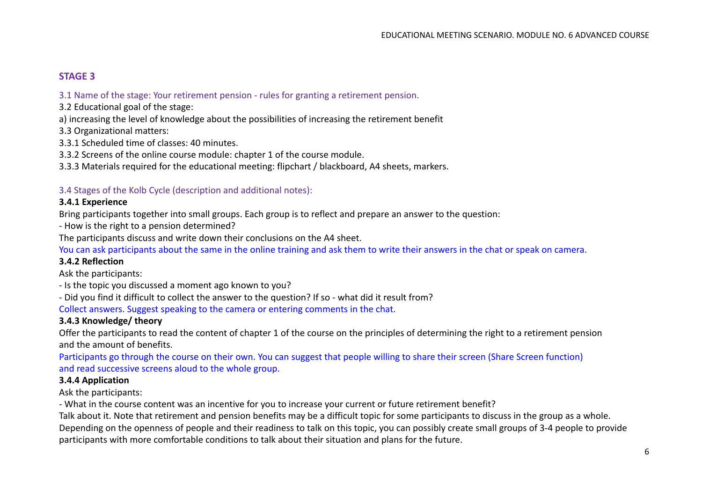## **STAGE 3**

#### 3.1 Name of the stage: Your retirement pension - rules for granting a retirement pension.

- 3.2 Educational goal of the stage:
- a) increasing the level of knowledge about the possibilities of increasing the retirement benefit
- 3.3 Organizational matters:
- 3.3.1 Scheduled time of classes: 40 minutes.
- 3.3.2 Screens of the online course module: chapter 1 of the course module.
- 3.3.3 Materials required for the educational meeting: flipchart / blackboard, A4 sheets, markers.

#### 3.4 Stages of the Kolb Cycle (description and additional notes):

#### **3.4.1 Experience**

Bring participants together into small groups. Each group is to reflect and prepare an answer to the question:

- How is the right to a pension determined?

The participants discuss and write down their conclusions on the A4 sheet.

You can ask participants about the same in the online training and ask them to write their answers in the chat or speak on camera.

#### **3.4.2 Reflection**

Ask the participants:

- Is the topic you discussed a moment ago known to you?
- Did you find it difficult to collect the answer to the question? If so what did it result from?

Collect answers. Suggest speaking to the camera or entering comments in the chat.

#### **3.4.3 Knowledge/ theory**

Offer the participants to read the content of chapter 1 of the course on the principles of determining the right to a retirement pension and the amount of benefits.

Participants go through the course on their own. You can suggest that people willing to share their screen (Share Screen function) and read successive screens aloud to the whole group.

#### **3.4.4 Application**

Ask the participants:

- What in the course content was an incentive for you to increase your current or future retirement benefit?

Talk about it. Note that retirement and pension benefits may be a difficult topic for some participants to discuss in the group as a whole. Depending on the openness of people and their readiness to talk on this topic, you can possibly create small groups of 3-4 people to provide participants with more comfortable conditions to talk about their situation and plans for the future.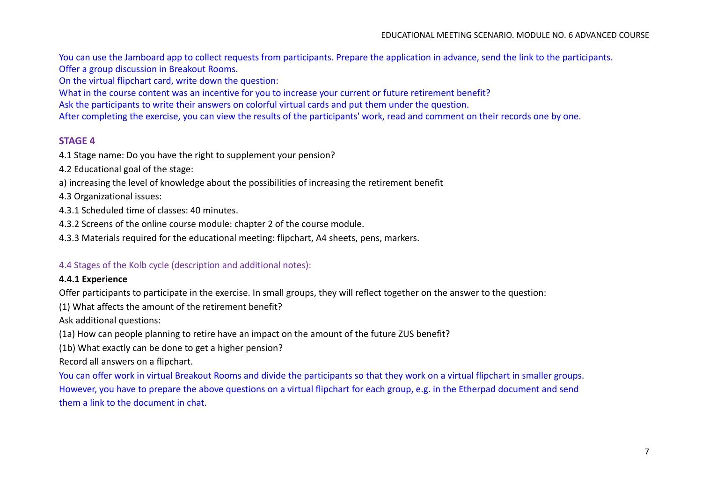You can use the Jamboard app to collect requests from participants. Prepare the application in advance, send the link to the participants. Offer a group discussion in Breakout Rooms.

On the virtual flipchart card, write down the question:

What in the course content was an incentive for you to increase your current or future retirement benefit?

Ask the participants to write their answers on colorful virtual cards and put them under the question.

After completing the exercise, you can view the results of the participants' work, read and comment on their records one by one.

## **STAGE 4**

4.1 Stage name: Do you have the right to supplement your pension?

4.2 Educational goal of the stage:

a) increasing the level of knowledge about the possibilities of increasing the retirement benefit

4.3 Organizational issues:

4.3.1 Scheduled time of classes: 40 minutes.

4.3.2 Screens of the online course module: chapter 2 of the course module.

4.3.3 Materials required for the educational meeting: flipchart, A4 sheets, pens, markers.

## 4.4 Stages of the Kolb cycle (description and additional notes):

#### **4.4.1 Experience**

Offer participants to participate in the exercise. In small groups, they will reflect together on the answer to the question:

(1) What affects the amount of the retirement benefit?

Ask additional questions:

(1a) How can people planning to retire have an impact on the amount of the future ZUS benefit?

(1b) What exactly can be done to get a higher pension?

Record all answers on a flipchart.

You can offer work in virtual Breakout Rooms and divide the participants so that they work on a virtual flipchart in smaller groups. However, you have to prepare the above questions on a virtual flipchart for each group, e.g. in the Etherpad document and send them a link to the document in chat.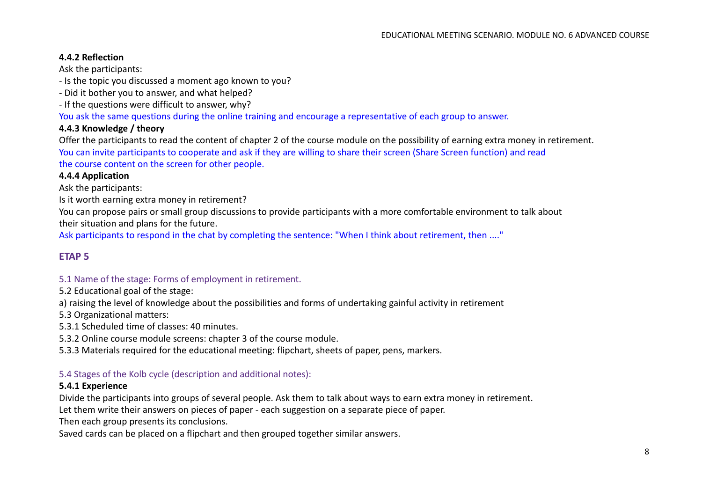## **4.4.2 Reflection**

Ask the participants:

- Is the topic you discussed a moment ago known to you?
- Did it bother you to answer, and what helped?
- If the questions were difficult to answer, why?

You ask the same questions during the online training and encourage a representative of each group to answer.

#### **4.4.3 Knowledge / theory**

Offer the participants to read the content of chapter 2 of the course module on the possibility of earning extra money in retirement. You can invite participants to cooperate and ask if they are willing to share their screen (Share Screen function) and read the course content on the screen for other people.

#### **4.4.4 Application**

Ask the participants:

Is it worth earning extra money in retirement?

You can propose pairs or small group discussions to provide participants with a more comfortable environment to talk about their situation and plans for the future.

Ask participants to respond in the chat by completing the sentence: "When I think about retirement, then ...."

## **ETAP 5**

#### 5.1 Name of the stage: Forms of employment in retirement.

5.2 Educational goal of the stage:

a) raising the level of knowledge about the possibilities and forms of undertaking gainful activity in retirement

5.3 Organizational matters:

5.3.1 Scheduled time of classes: 40 minutes.

5.3.2 Online course module screens: chapter 3 of the course module.

5.3.3 Materials required for the educational meeting: flipchart, sheets of paper, pens, markers.

#### 5.4 Stages of the Kolb cycle (description and additional notes):

#### **5.4.1 Experience**

Divide the participants into groups of several people. Ask them to talk about ways to earn extra money in retirement.

Let them write their answers on pieces of paper - each suggestion on a separate piece of paper.

Then each group presents its conclusions.

Saved cards can be placed on a flipchart and then grouped together similar answers.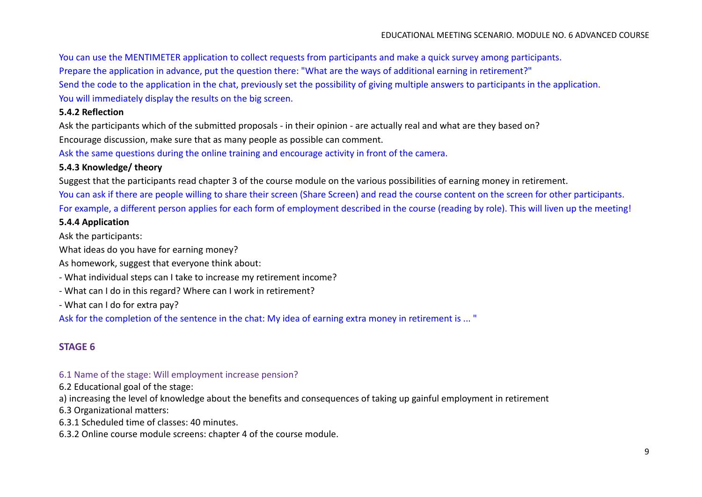You can use the MENTIMETER application to collect requests from participants and make a quick survey among participants.

Prepare the application in advance, put the question there: "What are the ways of additional earning in retirement?"

Send the code to the application in the chat, previously set the possibility of giving multiple answers to participants in the application.

You will immediately display the results on the big screen.

#### **5.4.2 Reflection**

Ask the participants which of the submitted proposals - in their opinion - are actually real and what are they based on? Encourage discussion, make sure that as many people as possible can comment.

Ask the same questions during the online training and encourage activity in front of the camera.

#### **5.4.3 Knowledge/ theory**

Suggest that the participants read chapter 3 of the course module on the various possibilities of earning money in retirement.

You can ask if there are people willing to share their screen (Share Screen) and read the course content on the screen for other participants. For example, a different person applies for each form of employment described in the course (reading by role). This will liven up the meeting!

#### **5.4.4 Application**

Ask the participants:

What ideas do you have for earning money?

As homework, suggest that everyone think about:

- What individual steps can I take to increase my retirement income?
- What can I do in this regard? Where can I work in retirement?
- What can I do for extra pay?

Ask for the completion of the sentence in the chat: My idea of earning extra money in retirement is ... "

# **STAGE 6**

#### 6.1 Name of the stage: Will employment increase pension?

6.2 Educational goal of the stage:

a) increasing the level of knowledge about the benefits and consequences of taking up gainful employment in retirement

6.3 Organizational matters:

6.3.1 Scheduled time of classes: 40 minutes.

6.3.2 Online course module screens: chapter 4 of the course module.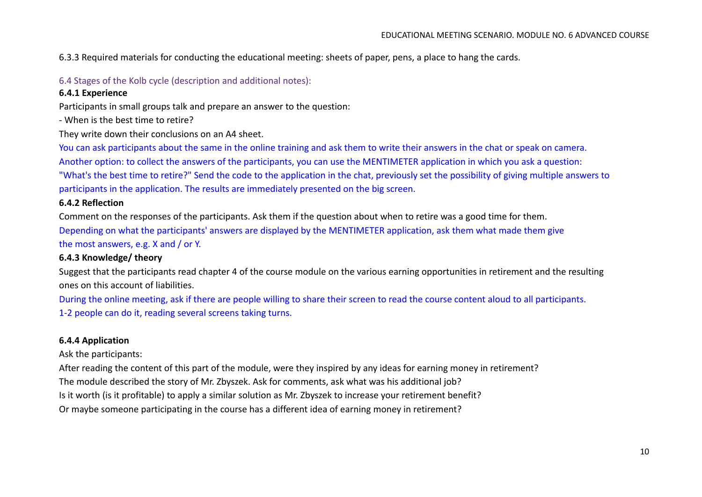6.3.3 Required materials for conducting the educational meeting: sheets of paper, pens, a place to hang the cards.

## 6.4 Stages of the Kolb cycle (description and additional notes):

## **6.4.1 Experience**

Participants in small groups talk and prepare an answer to the question:

- When is the best time to retire?

They write down their conclusions on an A4 sheet.

You can ask participants about the same in the online training and ask them to write their answers in the chat or speak on camera. Another option: to collect the answers of the participants, you can use the MENTIMETER application in which you ask a question: "What's the best time to retire?" Send the code to the application in the chat, previously set the possibility of giving multiple answers to participants in the application. The results are immediately presented on the big screen.

## **6.4.2 Reflection**

Comment on the responses of the participants. Ask them if the question about when to retire was a good time for them. Depending on what the participants' answers are displayed by the MENTIMETER application, ask them what made them give the most answers, e.g. X and / or Y.

# **6.4.3 Knowledge/ theory**

Suggest that the participants read chapter 4 of the course module on the various earning opportunities in retirement and the resulting ones on this account of liabilities.

During the online meeting, ask if there are people willing to share their screen to read the course content aloud to all participants. 1-2 people can do it, reading several screens taking turns.

# **6.4.4 Application**

Ask the participants:

After reading the content of this part of the module, were they inspired by any ideas for earning money in retirement? The module described the story of Mr. Zbyszek. Ask for comments, ask what was his additional job? Is it worth (is it profitable) to apply a similar solution as Mr. Zbyszek to increase your retirement benefit? Or maybe someone participating in the course has a different idea of earning money in retirement?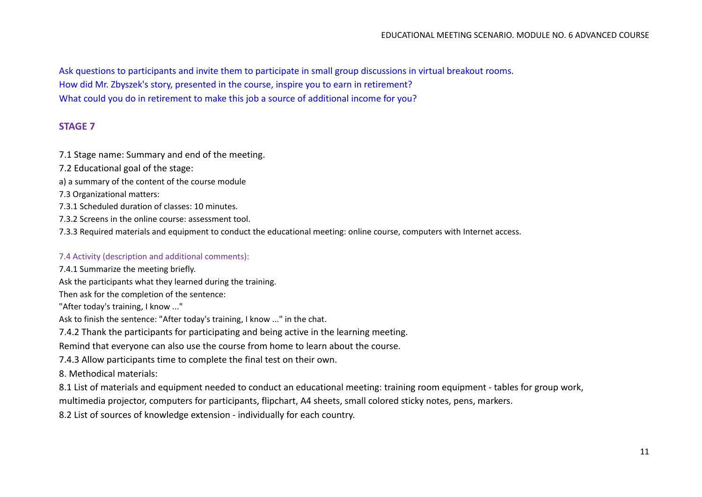Ask questions to participants and invite them to participate in small group discussions in virtual breakout rooms. How did Mr. Zbyszek's story, presented in the course, inspire you to earn in retirement? What could you do in retirement to make this job a source of additional income for you?

## **STAGE 7**

7.1 Stage name: Summary and end of the meeting.

- 7.2 Educational goal of the stage:
- a) a summary of the content of the course module
- 7.3 Organizational matters:
- 7.3.1 Scheduled duration of classes: 10 minutes.
- 7.3.2 Screens in the online course: assessment tool.
- 7.3.3 Required materials and equipment to conduct the educational meeting: online course, computers with Internet access.

#### 7.4 Activity (description and additional comments):

7.4.1 Summarize the meeting briefly.

Ask the participants what they learned during the training.

Then ask for the completion of the sentence:

"After today's training, I know ..."

Ask to finish the sentence: "After today's training, I know ..." in the chat.

7.4.2 Thank the participants for participating and being active in the learning meeting.

Remind that everyone can also use the course from home to learn about the course.

7.4.3 Allow participants time to complete the final test on their own.

8. Methodical materials:

8.1 List of materials and equipment needed to conduct an educational meeting: training room equipment - tables for group work,

multimedia projector, computers for participants, flipchart, A4 sheets, small colored sticky notes, pens, markers.

8.2 List of sources of knowledge extension - individually for each country.